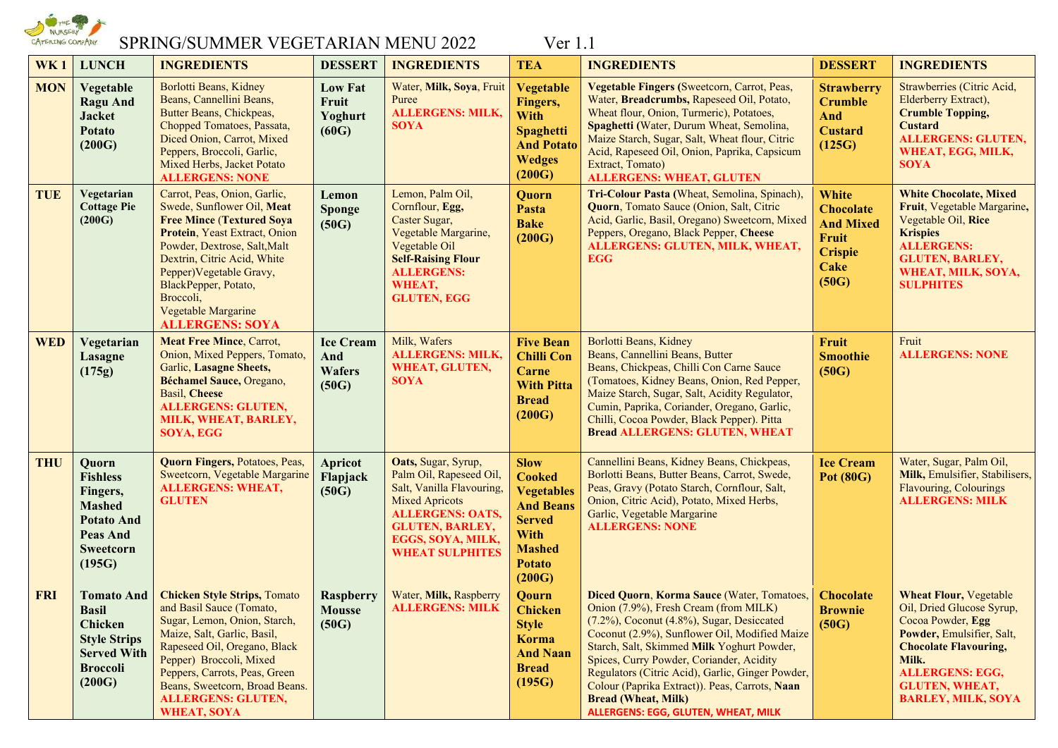

# SPRING/SUMMER VEGETARIAN MENU 2022 Ver 1.1

| WK <sub>1</sub>                                                                                                                      | <b>LUNCH</b><br><b>INGREDIENTS</b>                                                                                                                                                                                                                                                                               |                                                   | <b>INGREDIENTS</b>                                                                                                                                                                                                                                                                                                                                            | <b>TEA</b>                                                                                                      | <b>INGREDIENTS</b>                                                                                                                                                                                                                                                                                                                                                                                                                                            | <b>DESSERT</b>                                                                                   | <b>INGREDIENTS</b>                                                                                                                                                                                                                    |
|--------------------------------------------------------------------------------------------------------------------------------------|------------------------------------------------------------------------------------------------------------------------------------------------------------------------------------------------------------------------------------------------------------------------------------------------------------------|---------------------------------------------------|---------------------------------------------------------------------------------------------------------------------------------------------------------------------------------------------------------------------------------------------------------------------------------------------------------------------------------------------------------------|-----------------------------------------------------------------------------------------------------------------|---------------------------------------------------------------------------------------------------------------------------------------------------------------------------------------------------------------------------------------------------------------------------------------------------------------------------------------------------------------------------------------------------------------------------------------------------------------|--------------------------------------------------------------------------------------------------|---------------------------------------------------------------------------------------------------------------------------------------------------------------------------------------------------------------------------------------|
| <b>MON</b><br>Vegetable<br><b>Ragu And</b><br><b>Jacket</b><br><b>Potato</b><br>(200G)                                               | Borlotti Beans, Kidney<br>Beans, Cannellini Beans,<br>Butter Beans, Chickpeas,<br>Chopped Tomatoes, Passata,<br>Diced Onion, Carrot, Mixed<br>Peppers, Broccoli, Garlic,<br>Mixed Herbs, Jacket Potato<br><b>ALLERGENS: NONE</b>                                                                                 | <b>Low Fat</b><br>Fruit<br>Yoghurt<br>(60G)       | Water, Milk, Soya, Fruit<br>Puree<br><b>ALLERGENS: MILK,</b><br><b>SOYA</b>                                                                                                                                                                                                                                                                                   | <b>Vegetable</b><br>Fingers,<br><b>With</b><br><b>Spaghetti</b><br><b>And Potato</b><br><b>Wedges</b><br>(200G) | Vegetable Fingers (Sweetcorn, Carrot, Peas,<br>Water, Breadcrumbs, Rapeseed Oil, Potato,<br>Wheat flour, Onion, Turmeric), Potatoes,<br>Spaghetti (Water, Durum Wheat, Semolina,<br>Maize Starch, Sugar, Salt, Wheat flour, Citric<br>Acid, Rapeseed Oil, Onion, Paprika, Capsicum<br>Extract, Tomato)<br><b>ALLERGENS: WHEAT, GLUTEN</b>                                                                                                                     | <b>Strawberry</b><br><b>Crumble</b><br>And<br><b>Custard</b><br>(125G)                           | Strawberries (Citric Acid,<br>Elderberry Extract),<br><b>Crumble Topping,</b><br><b>Custard</b><br><b>ALLERGENS: GLUTEN,</b><br>WHEAT, EGG, MILK,<br><b>SOYA</b>                                                                      |
| <b>TUE</b><br>Vegetarian<br><b>Cottage Pie</b><br>(200G)                                                                             | Carrot, Peas, Onion, Garlic,<br>Swede, Sunflower Oil, Meat<br><b>Free Mince (Textured Soya</b><br>Protein, Yeast Extract, Onion<br>Powder, Dextrose, Salt, Malt<br>Dextrin, Citric Acid, White<br>Pepper) Vegetable Gravy,<br>BlackPepper, Potato,<br>Broccoli,<br>Vegetable Margarine<br><b>ALLERGENS: SOYA</b> | Lemon<br>Sponge<br>(50G)                          | Lemon, Palm Oil,<br>Cornflour, Egg,<br>Caster Sugar,<br>Vegetable Margarine,<br>Vegetable Oil<br><b>Self-Raising Flour</b><br><b>ALLERGENS:</b><br>WHEAT,<br><b>GLUTEN, EGG</b>                                                                                                                                                                               | Quorn<br>Pasta<br><b>Bake</b><br>(200G)                                                                         | Tri-Colour Pasta (Wheat, Semolina, Spinach),<br>Quorn, Tomato Sauce (Onion, Salt, Citric<br>Acid, Garlic, Basil, Oregano) Sweetcorn, Mixed<br>Peppers, Oregano, Black Pepper, Cheese<br>ALLERGENS: GLUTEN, MILK, WHEAT,<br><b>EGG</b>                                                                                                                                                                                                                         | <b>White</b><br><b>Chocolate</b><br><b>And Mixed</b><br>Fruit<br><b>Crispie</b><br>Cake<br>(50G) | <b>White Chocolate, Mixed</b><br>Fruit, Vegetable Margarine,<br>Vegetable Oil, Rice<br><b>Krispies</b><br><b>ALLERGENS:</b><br><b>GLUTEN, BARLEY,</b><br>WHEAT, MILK, SOYA,<br><b>SULPHITES</b>                                       |
| <b>WED</b><br>Vegetarian<br>Lasagne<br>(175g)                                                                                        | <b>Meat Free Mince, Carrot,</b><br>Onion, Mixed Peppers, Tomato,<br>Garlic, Lasagne Sheets,<br>Béchamel Sauce, Oregano,<br><b>Basil</b> , <b>Cheese</b><br><b>ALLERGENS: GLUTEN,</b><br>MILK, WHEAT, BARLEY,<br>SOYA, EGG                                                                                        | <b>Ice Cream</b><br>And<br><b>Wafers</b><br>(50G) | Milk, Wafers<br><b>ALLERGENS: MILK,</b><br>WHEAT, GLUTEN,<br><b>SOYA</b>                                                                                                                                                                                                                                                                                      | <b>Five Bean</b><br><b>Chilli Con</b><br>Carne<br><b>With Pitta</b><br><b>Bread</b><br>(200G)                   | Borlotti Beans, Kidney<br>Beans, Cannellini Beans, Butter<br>Beans, Chickpeas, Chilli Con Carne Sauce<br>(Tomatoes, Kidney Beans, Onion, Red Pepper,<br>Maize Starch, Sugar, Salt, Acidity Regulator,<br>Cumin, Paprika, Coriander, Oregano, Garlic,<br>Chilli, Cocoa Powder, Black Pepper). Pitta<br><b>Bread ALLERGENS: GLUTEN, WHEAT</b>                                                                                                                   | <b>Fruit</b><br><b>Smoothie</b><br>(50G)                                                         | Fruit<br><b>ALLERGENS: NONE</b>                                                                                                                                                                                                       |
| <b>THU</b><br>Quorn<br><b>Fishless</b><br>Fingers,<br><b>Mashed</b><br><b>Potato And</b><br><b>Peas And</b><br>Sweetcorn<br>(195G)   | <b>Quorn Fingers, Potatoes, Peas,</b><br>Sweetcorn, Vegetable Margarine<br><b>ALLERGENS: WHEAT,</b><br><b>GLUTEN</b>                                                                                                                                                                                             | <b>Apricot</b><br>Flapjack<br>(50G)               | <b>Slow</b><br>Oats, Sugar, Syrup,<br>Palm Oil, Rapeseed Oil,<br><b>Cooked</b><br>Salt, Vanilla Flavouring,<br><b>Vegetables</b><br><b>Mixed Apricots</b><br><b>And Beans</b><br><b>ALLERGENS: OATS,</b><br><b>Served</b><br><b>GLUTEN, BARLEY,</b><br><b>With</b><br>EGGS, SOYA, MILK,<br><b>Mashed</b><br><b>WHEAT SULPHITES</b><br><b>Potato</b><br>(200G) |                                                                                                                 | Cannellini Beans, Kidney Beans, Chickpeas,<br>Borlotti Beans, Butter Beans, Carrot, Swede,<br>Peas, Gravy (Potato Starch, Cornflour, Salt,<br>Onion, Citric Acid), Potato, Mixed Herbs,<br>Garlic, Vegetable Margarine<br><b>ALLERGENS: NONE</b>                                                                                                                                                                                                              | <b>Ice Cream</b><br><b>Pot (80G)</b>                                                             | Water, Sugar, Palm Oil,<br>Milk, Emulsifier, Stabilisers,<br>Flavouring, Colourings<br><b>ALLERGENS: MILK</b>                                                                                                                         |
| <b>FRI</b><br><b>Tomato And</b><br><b>Basil</b><br>Chicken<br><b>Style Strips</b><br><b>Served With</b><br><b>Broccoli</b><br>(200G) | <b>Chicken Style Strips, Tomato</b><br>and Basil Sauce (Tomato,<br>Sugar, Lemon, Onion, Starch,<br>Maize, Salt, Garlic, Basil,<br>Rapeseed Oil, Oregano, Black<br>Pepper) Broccoli, Mixed<br>Peppers, Carrots, Peas, Green<br>Beans, Sweetcorn, Broad Beans.<br><b>ALLERGENS: GLUTEN,</b><br><b>WHEAT, SOYA</b>  | <b>Raspberry</b><br><b>Mousse</b><br>(50G)        | Water, Milk, Raspberry<br><b>ALLERGENS: MILK</b>                                                                                                                                                                                                                                                                                                              | Qourn<br><b>Chicken</b><br><b>Style</b><br>Korma<br><b>And Naan</b><br><b>Bread</b><br>(195G)                   | Diced Quorn, Korma Sauce (Water, Tomatoes,<br>Onion (7.9%), Fresh Cream (from MILK)<br>(7.2%), Coconut (4.8%), Sugar, Desiccated<br>Coconut (2.9%), Sunflower Oil, Modified Maize<br>Starch, Salt, Skimmed Milk Yoghurt Powder,<br>Spices, Curry Powder, Coriander, Acidity<br>Regulators (Citric Acid), Garlic, Ginger Powder,<br>Colour (Paprika Extract)). Peas, Carrots, Naan<br><b>Bread (Wheat, Milk)</b><br><b>ALLERGENS: EGG, GLUTEN, WHEAT, MILK</b> | <b>Chocolate</b><br><b>Brownie</b><br>(50G)                                                      | <b>Wheat Flour, Vegetable</b><br>Oil, Dried Glucose Syrup,<br>Cocoa Powder, Egg<br>Powder, Emulsifier, Salt,<br><b>Chocolate Flavouring,</b><br>Milk.<br><b>ALLERGENS: EGG,</b><br><b>GLUTEN, WHEAT,</b><br><b>BARLEY, MILK, SOYA</b> |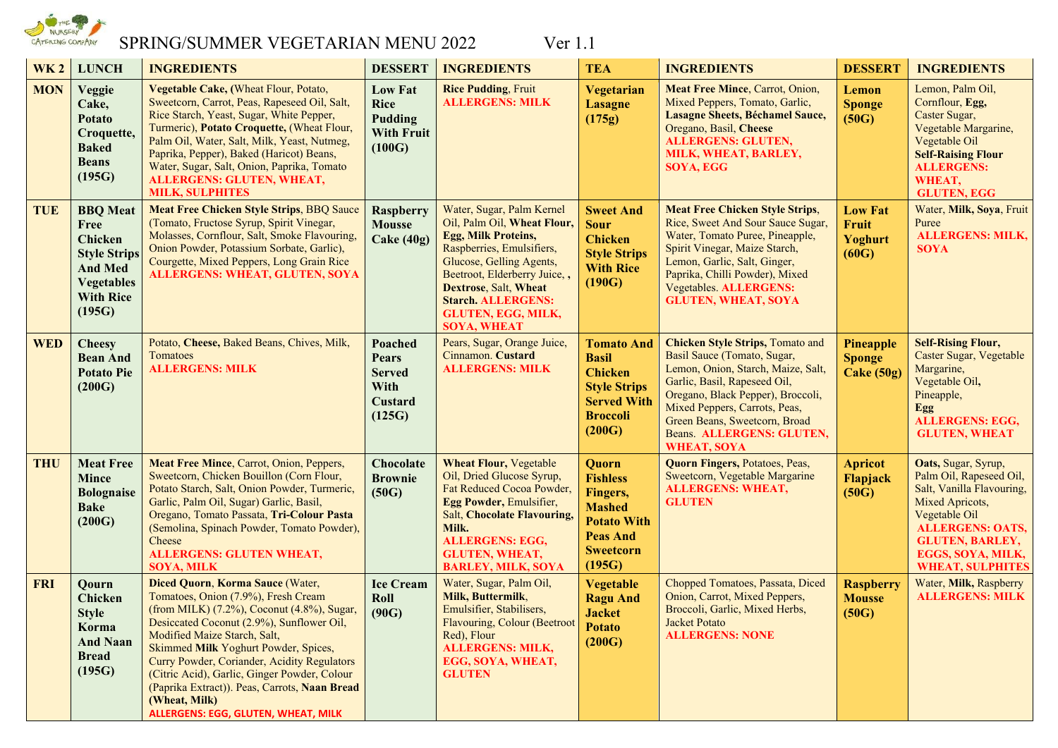

# SPRING/SUMMER VEGETARIAN MENU 2022 Ver 1.1

| <b>WK2</b> | <b>LUNCH</b>                                                                                                                          | <b>INGREDIENTS</b>                                                                                                                                                                                                                                                                                                                                                                                                                                 | <b>DESSERT</b>                                                          | <b>INGREDIENTS</b>                                                                                                                                                                                                                                                                              | <b>TEA</b>                                                                                                                    | <b>INGREDIENTS</b>                                                                                                                                                                                                                                                                                     | <b>DESSERT</b>                                  | <b>INGREDIENTS</b>                                                                                                                                                                                                   |
|------------|---------------------------------------------------------------------------------------------------------------------------------------|----------------------------------------------------------------------------------------------------------------------------------------------------------------------------------------------------------------------------------------------------------------------------------------------------------------------------------------------------------------------------------------------------------------------------------------------------|-------------------------------------------------------------------------|-------------------------------------------------------------------------------------------------------------------------------------------------------------------------------------------------------------------------------------------------------------------------------------------------|-------------------------------------------------------------------------------------------------------------------------------|--------------------------------------------------------------------------------------------------------------------------------------------------------------------------------------------------------------------------------------------------------------------------------------------------------|-------------------------------------------------|----------------------------------------------------------------------------------------------------------------------------------------------------------------------------------------------------------------------|
| <b>MON</b> | Veggie<br>Cake,<br><b>Potato</b><br>Croquette,<br><b>Baked</b><br><b>Beans</b><br>(195G)                                              | Vegetable Cake, (Wheat Flour, Potato,<br>Sweetcorn, Carrot, Peas, Rapeseed Oil, Salt,<br>Rice Starch, Yeast, Sugar, White Pepper,<br>Turmeric), Potato Croquette, (Wheat Flour,<br>Palm Oil, Water, Salt, Milk, Yeast, Nutmeg,<br>Paprika, Pepper), Baked (Haricot) Beans,<br>Water, Sugar, Salt, Onion, Paprika, Tomato<br><b>ALLERGENS: GLUTEN, WHEAT,</b><br><b>MILK, SULPHITES</b>                                                             | <b>Low Fat</b><br><b>Rice</b><br>Pudding<br><b>With Fruit</b><br>(100G) | <b>Rice Pudding, Fruit</b><br><b>ALLERGENS: MILK</b>                                                                                                                                                                                                                                            | Vegetarian<br><b>Lasagne</b><br>(175g)                                                                                        | Meat Free Mince, Carrot, Onion,<br>Mixed Peppers, Tomato, Garlic,<br>Lasagne Sheets, Béchamel Sauce,<br>Oregano, Basil, Cheese<br><b>ALLERGENS: GLUTEN,</b><br>MILK, WHEAT, BARLEY,<br>SOYA, EGG                                                                                                       | Lemon<br><b>Sponge</b><br>(50G)                 | Lemon, Palm Oil,<br>Cornflour, Egg,<br>Caster Sugar,<br>Vegetable Margarine,<br>Vegetable Oil<br><b>Self-Raising Flour</b><br><b>ALLERGENS:</b><br>WHEAT,<br><b>GLUTEN, EGG</b>                                      |
| <b>TUE</b> | <b>BBQ</b> Meat<br>Free<br><b>Chicken</b><br><b>Style Strips</b><br><b>And Med</b><br><b>Vegetables</b><br><b>With Rice</b><br>(195G) | <b>Meat Free Chicken Style Strips, BBQ Sauce</b><br>(Tomato, Fructose Syrup, Spirit Vinegar,<br>Molasses, Cornflour, Salt, Smoke Flavouring,<br>Onion Powder, Potassium Sorbate, Garlic),<br>Courgette, Mixed Peppers, Long Grain Rice<br><b>ALLERGENS: WHEAT, GLUTEN, SOYA</b>                                                                                                                                                                    | Raspberry<br><b>Mousse</b><br>Cake $(40g)$                              | Water, Sugar, Palm Kernel<br>Oil, Palm Oil, Wheat Flour,<br><b>Egg, Milk Proteins,</b><br>Raspberries, Emulsifiers,<br>Glucose, Gelling Agents,<br>Beetroot, Elderberry Juice,,<br><b>Dextrose, Salt, Wheat</b><br><b>Starch. ALLERGENS:</b><br><b>GLUTEN, EGG, MILK,</b><br><b>SOYA, WHEAT</b> | <b>Sweet And</b><br><b>Sour</b><br><b>Chicken</b><br><b>Style Strips</b><br><b>With Rice</b><br>(190G)                        | <b>Meat Free Chicken Style Strips,</b><br>Rice, Sweet And Sour Sauce Sugar,<br>Water, Tomato Puree, Pineapple,<br>Spirit Vinegar, Maize Starch,<br>Lemon, Garlic, Salt, Ginger,<br>Paprika, Chilli Powder), Mixed<br>Vegetables. ALLERGENS:<br><b>GLUTEN, WHEAT, SOYA</b>                              | <b>Low Fat</b><br>Fruit<br>Yoghurt<br>(60G)     | Water, Milk, Soya, Fruit<br>Puree<br><b>ALLERGENS: MILK,</b><br><b>SOYA</b>                                                                                                                                          |
| <b>WED</b> | <b>Cheesy</b><br><b>Bean And</b><br><b>Potato Pie</b><br>(200G)                                                                       | Potato, Cheese, Baked Beans, Chives, Milk,<br>Tomatoes<br><b>ALLERGENS: MILK</b>                                                                                                                                                                                                                                                                                                                                                                   | Poached<br><b>Pears</b><br><b>Served</b><br>With<br>Custard<br>(125G)   | Pears, Sugar, Orange Juice,<br>Cinnamon. Custard<br><b>ALLERGENS: MILK</b>                                                                                                                                                                                                                      | <b>Tomato And</b><br><b>Basil</b><br><b>Chicken</b><br><b>Style Strips</b><br><b>Served With</b><br><b>Broccoli</b><br>(200G) | <b>Chicken Style Strips, Tomato and</b><br>Basil Sauce (Tomato, Sugar,<br>Lemon, Onion, Starch, Maize, Salt,<br>Garlic, Basil, Rapeseed Oil,<br>Oregano, Black Pepper), Broccoli,<br>Mixed Peppers, Carrots, Peas,<br>Green Beans, Sweetcorn, Broad<br>Beans. ALLERGENS: GLUTEN,<br><b>WHEAT, SOYA</b> | <b>Pineapple</b><br><b>Sponge</b><br>Cake (50g) | <b>Self-Rising Flour,</b><br>Caster Sugar, Vegetable<br>Margarine,<br>Vegetable Oil,<br>Pineapple,<br>Egg<br><b>ALLERGENS: EGG,</b><br><b>GLUTEN, WHEAT</b>                                                          |
| <b>THU</b> | <b>Meat Free</b><br><b>Mince</b><br><b>Bolognaise</b><br><b>Bake</b><br>(200G)                                                        | Meat Free Mince, Carrot, Onion, Peppers,<br>Sweetcorn, Chicken Bouillon (Corn Flour,<br>Potato Starch, Salt, Onion Powder, Turmeric,<br>Garlic, Palm Oil, Sugar) Garlic, Basil,<br>Oregano, Tomato Passata, Tri-Colour Pasta<br>(Semolina, Spinach Powder, Tomato Powder),<br>Cheese<br><b>ALLERGENS: GLUTEN WHEAT,</b><br><b>SOYA, MILK</b>                                                                                                       | <b>Chocolate</b><br><b>Brownie</b><br>(50G)                             | <b>Wheat Flour, Vegetable</b><br>Oil, Dried Glucose Syrup,<br>Fat Reduced Cocoa Powder,<br>Egg Powder, Emulsifier,<br><b>Salt, Chocolate Flavouring,</b><br>Milk.<br><b>ALLERGENS: EGG,</b><br><b>GLUTEN, WHEAT,</b><br><b>BARLEY, MILK, SOYA</b>                                               | Quorn<br><b>Fishless</b><br>Fingers,<br><b>Mashed</b><br><b>Potato With</b><br><b>Peas And</b><br><b>Sweetcorn</b><br>(195G)  | <b>Quorn Fingers, Potatoes, Peas,</b><br>Sweetcorn, Vegetable Margarine<br><b>ALLERGENS: WHEAT,</b><br><b>GLUTEN</b>                                                                                                                                                                                   | <b>Apricot</b><br>Flapjack<br>(50G)             | Oats, Sugar, Syrup,<br>Palm Oil, Rapeseed Oil,<br>Salt, Vanilla Flavouring,<br>Mixed Apricots,<br>Vegetable Oil<br><b>ALLERGENS: OATS,</b><br><b>GLUTEN, BARLEY,</b><br>EGGS, SOYA, MILK,<br><b>WHEAT, SULPHITES</b> |
| <b>FRI</b> | Qourn<br><b>Chicken</b><br><b>Style</b><br>Korma<br><b>And Naan</b><br><b>Bread</b><br>(195G)                                         | Diced Quorn, Korma Sauce (Water,<br>Tomatoes, Onion (7.9%), Fresh Cream<br>(from MILK) (7.2%), Coconut (4.8%), Sugar,<br>Desiccated Coconut (2.9%), Sunflower Oil,<br>Modified Maize Starch, Salt,<br>Skimmed Milk Yoghurt Powder, Spices,<br>Curry Powder, Coriander, Acidity Regulators<br>(Citric Acid), Garlic, Ginger Powder, Colour<br>(Paprika Extract)). Peas, Carrots, Naan Bread<br>(Wheat, Milk)<br>ALLERGENS: EGG, GLUTEN, WHEAT, MILK | <b>Ice Cream</b><br>Roll<br>(90G)                                       | Water, Sugar, Palm Oil,<br>Milk, Buttermilk,<br>Emulsifier, Stabilisers,<br>Flavouring, Colour (Beetroot<br>Red), Flour<br><b>ALLERGENS: MILK,</b><br>EGG, SOYA, WHEAT,<br><b>GLUTEN</b>                                                                                                        | <b>Vegetable</b><br><b>Ragu And</b><br><b>Jacket</b><br><b>Potato</b><br>(200G)                                               | Chopped Tomatoes, Passata, Diced<br>Onion, Carrot, Mixed Peppers,<br>Broccoli, Garlic, Mixed Herbs,<br>Jacket Potato<br><b>ALLERGENS: NONE</b>                                                                                                                                                         | <b>Raspberry</b><br><b>Mousse</b><br>(50G)      | Water, Milk, Raspberry<br><b>ALLERGENS: MILK</b>                                                                                                                                                                     |